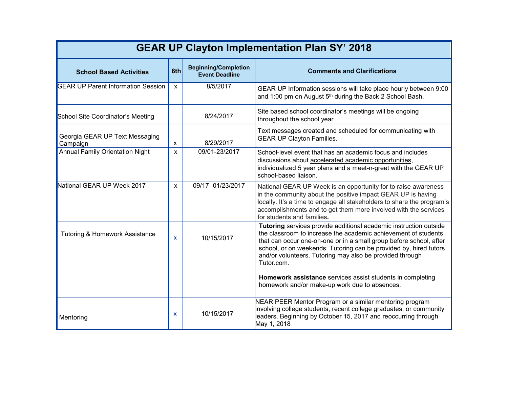| <b>GEAR UP Clayton Implementation Plan SY' 2018</b> |                           |                                                      |                                                                                                                                                                                                                                                                                                                                                                                                                        |  |
|-----------------------------------------------------|---------------------------|------------------------------------------------------|------------------------------------------------------------------------------------------------------------------------------------------------------------------------------------------------------------------------------------------------------------------------------------------------------------------------------------------------------------------------------------------------------------------------|--|
| <b>School Based Activities</b>                      | 8th                       | <b>Beginning/Completion</b><br><b>Event Deadline</b> | <b>Comments and Clarifications</b>                                                                                                                                                                                                                                                                                                                                                                                     |  |
| <b>GEAR UP Parent Information Session</b>           | $\mathsf{x}$              | 8/5/2017                                             | GEAR UP Information sessions will take place hourly between 9:00<br>and 1:00 pm on August 5 <sup>th</sup> during the Back 2 School Bash.                                                                                                                                                                                                                                                                               |  |
| School Site Coordinator's Meeting                   |                           | 8/24/2017                                            | Site based school coordinator's meetings will be ongoing<br>throughout the school year                                                                                                                                                                                                                                                                                                                                 |  |
| Georgia GEAR UP Text Messaging<br>Campaign          | $\boldsymbol{\mathsf{x}}$ | 8/29/2017                                            | Text messages created and scheduled for communicating with<br><b>GEAR UP Clayton Families.</b>                                                                                                                                                                                                                                                                                                                         |  |
| <b>Annual Family Orientation Night</b>              | X                         | 09/01-23/2017                                        | School-level event that has an academic focus and includes<br>discussions about accelerated academic opportunities,<br>individualized 5 year plans and a meet-n-greet with the GEAR UP<br>school-based liaison.                                                                                                                                                                                                        |  |
| National GEAR UP Week 2017                          | X                         | 09/17-01/23/2017                                     | National GEAR UP Week is an opportunity for to raise awareness<br>in the community about the positive impact GEAR UP is having<br>locally. It's a time to engage all stakeholders to share the program's<br>accomplishments and to get them more involved with the services<br>for students and families.                                                                                                              |  |
| <b>Tutoring &amp; Homework Assistance</b>           | $\mathbf{x}$              | 10/15/2017                                           | Tutoring services provide additional academic instruction outside<br>the classroom to increase the academic achievement of students<br>that can occur one-on-one or in a small group before school, after<br>school, or on weekends. Tutoring can be provided by, hired tutors<br>and/or volunteers. Tutoring may also be provided through<br>Tutor.com.<br>Homework assistance services assist students in completing |  |
|                                                     |                           |                                                      | homework and/or make-up work due to absences.                                                                                                                                                                                                                                                                                                                                                                          |  |
| Mentoring                                           | X                         | 10/15/2017                                           | NEAR PEER Mentor Program or a similar mentoring program<br>involving college students, recent college graduates, or community<br>leaders. Beginning by October 15, 2017 and reoccurring through<br>May 1, 2018                                                                                                                                                                                                         |  |